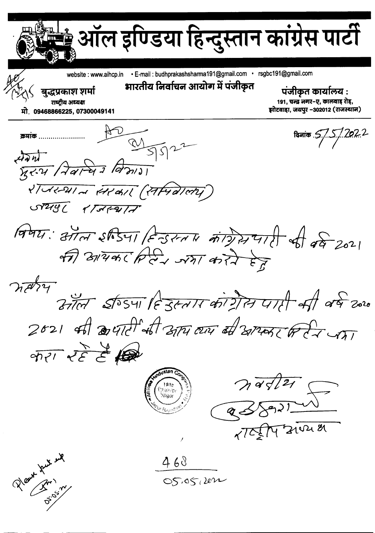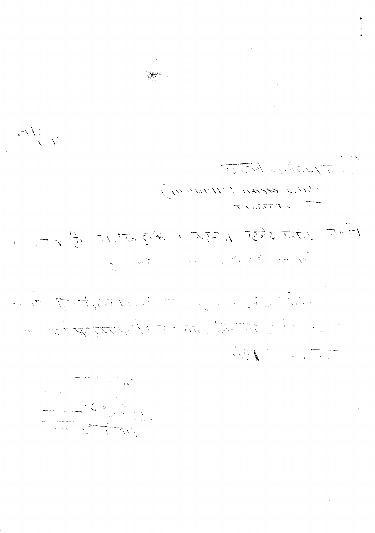TERRITANIE ROMAN the the state of the completion of the same ARA CARA TETT  $\label{eq:1} \begin{array}{c} \text{where} \quad \mathcal{P}^{\text{max}}(\mathcal{P}) \rightarrow \mathcal{P}^{\text{max}}(\mathcal{P}) \rightarrow \mathcal{P}^{\text{max}}(\mathcal{P}) \rightarrow \mathcal{P}^{\text{max}}(\mathcal{P}) \rightarrow \mathcal{P}^{\text{max}}(\mathcal{P}) \rightarrow \mathcal{P}^{\text{max}}(\mathcal{P}) \rightarrow \mathcal{P}^{\text{max}}(\mathcal{P}) \rightarrow \mathcal{P}^{\text{max}}(\mathcal{P}) \rightarrow \mathcal{P}^{\text{max}}(\mathcal{P}) \rightarrow \mathcal{P}^{\text{max}}(\mathcal{P}) \$ **CONSCRIPTION**  $\label{eq:2.1} \frac{1}{\sqrt{2}}\left(\frac{1}{\sqrt{2}}\right)^{2} \left(\frac{1}{\sqrt{2}}\right)^{2} \left(\frac{1}{\sqrt{2}}\right)^{2} \left(\frac{1}{\sqrt{2}}\right)^{2} \left(\frac{1}{\sqrt{2}}\right)^{2} \left(\frac{1}{\sqrt{2}}\right)^{2} \left(\frac{1}{\sqrt{2}}\right)^{2} \left(\frac{1}{\sqrt{2}}\right)^{2} \left(\frac{1}{\sqrt{2}}\right)^{2} \left(\frac{1}{\sqrt{2}}\right)^{2} \left(\frac{1}{\sqrt{2}}\right)^{2} \left(\$ THE THEORY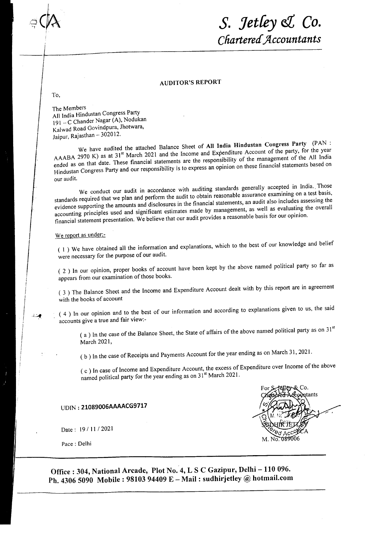### AUDITOR'S REPORT

*S. Jet{ey* **d** *Co.*

*Chartered Accountants* 

To,

*I*

*I*

*I*

*I*

*I* I

ه .

*I* / i

The Members All India Hindustan Congress Party 191 \_ C Chander Nagar (A), Nodukan Kalwad Road Govindpura, Jhotwara, Jaipur, Rajasthan - 302012.

We have audited the attached Balance Sheet of All India Hindustan Congress Party (PAN: AAABA 2970 K) as at 31<sup>st</sup> March 2021 and the Income and Expenditure Account of the party, for the year ended as on that date. These financial statements are the responsibility of the management of the All India Hindustan Congress Party and our responsibility is to express an opinion on these financial statements based on our audit.

We conduct our audit in accordance with auditing standards generally accepted in India., Those standards required that we plan and perform the audit to obtain reasonable assurance examining on a test basis, evidence supporting the amounts and disclosures in the financial statements, an audit also includes assessing the accounting principles used and significant estimates made by management, as well as evaluating the overall financial statement presentation. We believe that our audit provides a reasonable basis for our opinion.

### We report as under:-

( I ) We have obtained all the information and explanations, which to the best of our knowledge and belief were necessary for the purpose of our audit.

( 2 ) In our opinion, proper books of account have been kept by the above named political party so far as appears from our examination of those books.

( 3 ) The Balance Sheet and the Income and Expenditure Account dealt with by this report are in agreement with the books of account

( 4 ) In our opinion and to the best of our information and according to explanations given to us, the said accounts give a true and fair view:-

(a) In the case of the Balance Sheet, the State of affairs of the above named political party as on 31st March 2021,

( b ) In the case of Receipts and Payments Account for the year ending as on March 31, 2021.

(c) In case of Income and Expenditure Account, the excess of Expenditure over Income of the above named political party for the year ending as on 31<sup>st</sup> March 2021.

### UDIN: 21089006AAAACG9717

Date: 19 / II / 2021

Pace: Delhi



Office: 304, National Arcade, Plot No. 4, L S C Gazipur, Delhi - 110 096. Ph. 4306 5090 Mobile: 98103 94409 E - Mail: sudhirjetley @hotmail.com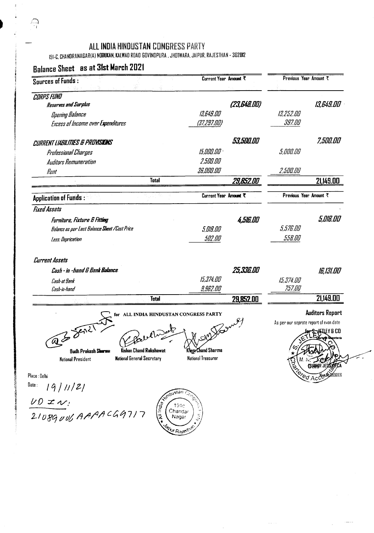## ALL INDIA HINDUSTAN CONGRESS PARTY

191-C, CHANDRANAGAR(A) NGOUKAN, KALWAD ROAD GOVINDPURA , JHOTWARA, JAIPUR, RAJESTHAN - 302012

# Balance Sheet as at 31st March 2021

| Sources of Funds :                                                 | Current Year Amount そ                  |                        | Previous Year Amount ₹                 |                        |
|--------------------------------------------------------------------|----------------------------------------|------------------------|----------------------------------------|------------------------|
| CORPS FUND                                                         |                                        |                        |                                        |                        |
| <b>Reserves and Surplus</b>                                        |                                        | (23,648.00)            |                                        | 13,649.00              |
| <b>Opening Balance</b>                                             | 13,649.00                              |                        | 13,252.00                              |                        |
| Excess of Income over Expenditures                                 | (37,297.00)                            |                        | 397.00                                 |                        |
| CURRENT LIABILITIES & PROVISIONS                                   |                                        | <i>53,500.00</i>       |                                        | 7,500.00               |
| <b>Professional Charges</b>                                        | 15,000.00                              |                        | 5,000.00                               |                        |
| <b>Auditors Remuneration</b>                                       | 2,500.00                               |                        |                                        |                        |
| Rent                                                               | <i>36,000.00</i>                       |                        | 2,500.00                               |                        |
| Total                                                              |                                        | 29,852.00              |                                        | 21,149.00              |
| <b>Application of Funds:</b>                                       | Current Year Amount そ                  |                        | Previous Year Amount ₹                 |                        |
| <b>Fixed Assets</b>                                                |                                        |                        |                                        |                        |
| <b>Furniture, Fixture &amp; Fitting</b>                            |                                        | <i><b>4,516.00</b></i> |                                        | <i>5,018.00</i>        |
| Balance as per Last Balance Sheet /Cost Price                      | 5.018.00                               |                        | 5.576.00                               |                        |
| Less: Deprication                                                  | 502.00                                 |                        | <i>558.00</i>                          |                        |
| <b>Current Assets</b>                                              |                                        |                        |                                        |                        |
| Cash - in -hand & Bank Balance                                     |                                        | 25,336.00              |                                        | 16,131.00              |
| Cash-at Bank                                                       | 15,374.00                              |                        | 15,374.00                              |                        |
| Cash-in-hand                                                       | 9,962.00                               |                        | 757.00                                 |                        |
| Total                                                              |                                        | 29,852,00              |                                        | 21,149.00              |
|                                                                    | for ALL INDIA HINDUSTAN CONGRESS PARTY |                        |                                        | <b>Auditors Report</b> |
|                                                                    | BUSBanney                              |                        | As per our seprate report of even date |                        |
| elize                                                              |                                        |                        |                                        | -HEXIEY & CD           |
| 23 Sen21                                                           |                                        |                        |                                        | <b>Ragustants</b>      |
| Kishan Chand Rakshawat<br><b>Budh Prakash Sharma</b>               | Khen Chand Sharma                      |                        |                                        |                        |
| National General Secretary<br>National President                   | National Treasurer                     |                        |                                        | <b>CONTRIGUES</b>      |
|                                                                    |                                        |                        | <b>SEAL DUMN</b><br>COLOGIACCOUR       |                        |
| Place : Delhi                                                      |                                        |                        |                                        |                        |
| Date :<br>19/11/21                                                 | <b>Exindustan Composition</b>          |                        |                                        |                        |
|                                                                    | 191c                                   |                        |                                        |                        |
| $\frac{UD \pm \omega_1}{21089 \text{ vol}}$ AAACG9717<br>All India | Chandar<br>ř,<br>Nagar                 |                        |                                        |                        |



 $\hat{\boldsymbol{\gamma}}$ 

سيسب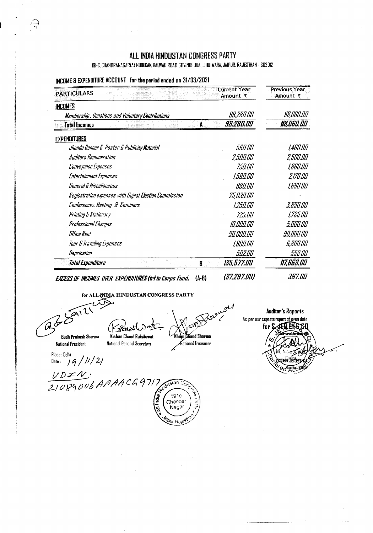### ALL INDIA HINDUSTAN CONGRESS PARTY

191-C, CHANDRANAGAR(A) NOGLKAN, KALWAD ROAD GOVINOPURA , JHOTWARA, JAIPUR, RAJESTHAN - 302012

### INCOME & EXPENDITURE ACCOUNT for the period ended on 31/03/2021

| <b>PARTICULARS</b>                                      | <b>Current Year</b><br>Amount ₹ | <b>Previous Year</b><br>Amount ₹ |
|---------------------------------------------------------|---------------------------------|----------------------------------|
| <b>INCOMES</b>                                          |                                 |                                  |
| Membership . Donations and Voluntary Contributions      | <i>98,280.00</i>                | 118,060.00                       |
| <b>Total Incomes</b>                                    | <i>98,280.00</i><br>Α.,         | <i><b>118,060.00</b></i>         |
| <b>EXPENDITURES</b>                                     |                                 |                                  |
| Jhanda Banner & Poster & Publicity Material             | <i>560.00</i>                   | 1,460.00                         |
| Auditors Remuneration                                   | 2.500.00                        | 2,500.00                         |
| Conveyance Expenses                                     | 750.00                          | 1,860.00                         |
| Entertainment Expenses                                  | 1.580.00                        | 2,170.00                         |
| General & Miscellaneous                                 | 880.00                          | 1.690.00                         |
| Regisstration expenses with Gujrat Election Commission  | 25.030.00                       |                                  |
| Conferences, Meeting & Seminars                         | 1.250.00                        | 3,890.00                         |
| Printing & Stationary                                   | 725.00                          | 1,735.00                         |
| Professional Charges                                    | 10,000.00                       | 5,000.00                         |
| <b>Affice Rent</b>                                      | 90,000.00                       | 90.000.00                        |
| Tour & Travelling Expenses                              | 1.800.00                        | 6,800.00                         |
| Deprication                                             | <i>502.00</i>                   | 558.00                           |
| <b>Total Expenditure</b>                                | 135,577.00<br>$\mathbf{B}$      | 117,663.00                       |
| EYFESS OF INFONES OVER EYRENDITURES (tof to Caras Fund. | (37.297.00)<br>$(A-R)$          | <i>397.00</i>                    |

EXCESS OF INCOMES OVER EXPENDITURES (trl to Corps Fund, (A-B)

(37,297.UU)

for ALL (NDIA HINDUSTAN CONGRESS PARTY

a35012

Budh Prakash Sharma National President

Kishan Chand Raic National General Secretary

Khem Chand Sharma

National Treasurer

 $VDEN$ :<br>21089006AAAACG9717 ind<sub>ia</sub> 1910 Chandar Nagar Yu Raja

**Auditor's Reports** As per our seprate report of even date for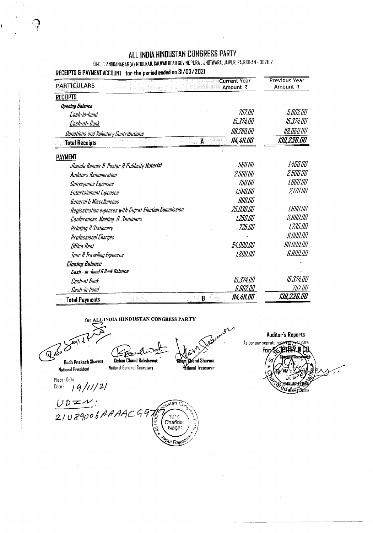## ALL INDIA HINDUSTAN CONGRESS PARTY

191-C, CHANDRANAGAR(A) NODLIKA<mark>n, kalwad r</mark>oad govindpura , Jhdtwara, Jaipur, Rajesthan - 302012

RECEIPTS & PAYMENT ACCOUNT for the neriod ended on 31/03/2021

| TO A CATHERI RODOONT TOE OOK TOO<br><b>PARTICULARS</b> | <b>Previous Year</b><br>Amount ₹ |                         |
|--------------------------------------------------------|----------------------------------|-------------------------|
| <b>RECEIPTS</b>                                        |                                  |                         |
| <b>Opening Balance</b>                                 |                                  |                         |
| Cash-in-hand                                           | 757.00                           | 5,802.00                |
| <u>Cash-at- Bank</u>                                   | 15,374.00                        | <i><b>15,374.00</b></i> |
| Donations and Voluntary Contributions                  | <i>98,280.00</i>                 | 118,060.00              |
| Å<br><b>Total Receipts</b>                             | 114,411.00                       | 139,236.00              |
| <b>PAYMENT</b>                                         |                                  |                         |
| Jhanda Banner & Poster & Publicity Material            | <i>560.00</i>                    | 1,460.00                |
| Auditors Remuneration                                  | 2,500.00                         | 2.500.00                |
| Conveyance Expenses                                    | 750.00                           | 1,860.00                |
| <b>Entertainment Expenses</b>                          | 1.580.00                         | 2,170.00                |
| <i>General &amp; Miscellaneous</i>                     | 880.00                           |                         |
| Regisstration expenses with Gujrat Election Commission | 25,030.00                        | 1,690.00                |
| Conferences, Meeting & Seminars                        | 1.250.00                         | 3.890.00                |
| <b>Printing &amp; Stationary</b>                       | 725.00                           | 1.735.00                |
| Professional Charges                                   |                                  | 11,000.00               |
| <b>Office Rent</b>                                     | <i>54,000.00</i>                 | 90,000.00               |
| Tour & Travelling Expenses                             | 1,800.00                         | 6.800.00                |
| <b>Closing Balance</b>                                 |                                  |                         |
| Cash - in -hand & Bank Balance                         |                                  |                         |
| Cash-at Bank                                           | 15,374.00                        | <i>15,374.00</i>        |
| Cash-in-hand                                           | 9,962.00                         | <i>757.00</i>           |
| B<br><b>Total Payments</b>                             | 114,411.00                       | 139,236.00              |

for ALL INDIA HINDUSTAN CONGRESS PARTY

qé

Place : Delhi

ł

Budh Prakash Sharma **National President** 

Kishan Chand Raksh National General Secretary

rand Sharma em Ch National Treasurer

 $9<sup>1</sup>$ 

Auditor's Reports As per our seprate ry for

Date:  $|9/11/2|$ 

 $UDEN$ :<br>21089006AAAACG9 191c Chandar Nagar ur Rajas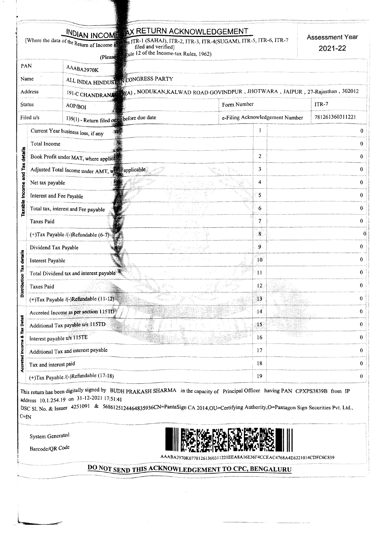| INDIAN INCOME<br>[Where the data of the Return of Income in<br>(Please |                            |                                                   | X RETURN ACKNOWLEDGEMENT<br>TR-1 (SAHAJ), ITR-2, ITR-3, ITR-4(SUGAM), ITR-5, ITR-6, ITR-7<br>filed and verified]<br>$\frac{1}{2}$ ule 12 of the Income-tax Rules, 1962) |             |                |                                 | <b>Assessment Year</b><br>2021-22 |  |
|------------------------------------------------------------------------|----------------------------|---------------------------------------------------|-------------------------------------------------------------------------------------------------------------------------------------------------------------------------|-------------|----------------|---------------------------------|-----------------------------------|--|
| PAN                                                                    |                            | AAABA2970K                                        |                                                                                                                                                                         |             |                |                                 |                                   |  |
| Name                                                                   |                            | ALL INDIA HINDUSTAN CONGRESS PARTY                |                                                                                                                                                                         |             |                |                                 |                                   |  |
|                                                                        | Address                    |                                                   | <sup>191</sup> -C CHANDRANA (A), NODUKAN, KALWAD ROAD GOVINDPUR, JHOTWARA, JAIPUR, 27-Rajasthan, 302012                                                                 |             |                |                                 |                                   |  |
| Status                                                                 |                            | AOP/BOI                                           |                                                                                                                                                                         | Form Number |                |                                 | $ITR-7$                           |  |
|                                                                        | Filed u/s                  | 139(1) - Return filed on the before due date      |                                                                                                                                                                         |             |                | e-Filing Acknowledgement Number | 781261360311221                   |  |
|                                                                        |                            | Current Year business loss, if any                |                                                                                                                                                                         |             | 1              |                                 | 0                                 |  |
|                                                                        | Total Income               |                                                   |                                                                                                                                                                         |             |                |                                 | 0                                 |  |
| details                                                                |                            | Book Profit under MAT, where applicate            |                                                                                                                                                                         |             | 2              |                                 |                                   |  |
| Tax                                                                    |                            | Adjusted Total Income under AMT, while applicable |                                                                                                                                                                         |             | 3              |                                 | 0                                 |  |
| <b>Ri</b>                                                              | Net tax payable            |                                                   |                                                                                                                                                                         |             | 4              |                                 | 0                                 |  |
| <b>Income</b>                                                          | Interest and Fee Payable   |                                                   |                                                                                                                                                                         |             | 5              |                                 | 0                                 |  |
| raxable                                                                |                            | Total tax, interest and Fee payable               |                                                                                                                                                                         |             | 6              |                                 | 0                                 |  |
|                                                                        | <b>Taxes Paid</b>          |                                                   |                                                                                                                                                                         |             | 7              |                                 |                                   |  |
|                                                                        |                            | (+)Tax Payable /(-)Refundable (6-7)               |                                                                                                                                                                         |             | 8              |                                 |                                   |  |
|                                                                        | Dividend Tax Payable       |                                                   |                                                                                                                                                                         |             | 9              |                                 | 0                                 |  |
| Tax details                                                            | Interest Payable           |                                                   |                                                                                                                                                                         |             | $10^{\circ}$   |                                 | 0                                 |  |
|                                                                        |                            | Total Dividend tax and interest payable           |                                                                                                                                                                         |             | 11             |                                 | 0                                 |  |
| Distribution                                                           | Taxes Paid                 |                                                   |                                                                                                                                                                         |             | 12             |                                 | 0.                                |  |
|                                                                        |                            | (+)Tax Payable /(-)Refundable (11-12)             |                                                                                                                                                                         |             | 13             |                                 | $\bf{0}$                          |  |
|                                                                        |                            | Accreted Income as per section 115TD              |                                                                                                                                                                         |             | $\frac{14}{2}$ |                                 | $\bf{0}$                          |  |
|                                                                        |                            | Additional Tax payable u/s 115TD                  | ŧ                                                                                                                                                                       |             | 15             |                                 | $\bf{0}$                          |  |
|                                                                        | Interest payable u/s 115TE |                                                   |                                                                                                                                                                         |             | 16             |                                 | 0                                 |  |
| <b>Accreted Income &amp; Tax Detail</b>                                |                            | Additional Tax and interest payable               |                                                                                                                                                                         |             | 17             |                                 | $\bf{0}$                          |  |
|                                                                        | Tax and interest paid      |                                                   |                                                                                                                                                                         |             | 18             |                                 | 0                                 |  |
|                                                                        |                            | (+)Tax Payable /(-)Refundable (17-18)             |                                                                                                                                                                         |             | 19             |                                 | 0                                 |  |

address 10.1.254.19 on 31-12-2021 17:51:41

DSC Sl. No. & Issuer 4251091 & 5686125124464835936CN=PantaSign CA 2014,OU=Certifying Authority,O=Pantagon Sign Securities Pvt. Ltd.,  $C = IN$ 

..\_------------------.\_---\_

System Generated

Barcode/QR Code

L



AAABA2970K07781261360311221EEA8A16E36F4CCEAC4768A4E6221014CDFC6C839

DO NOT SEND THIS ACKNOWLEDGEMENT TO CPC, BENGALURU